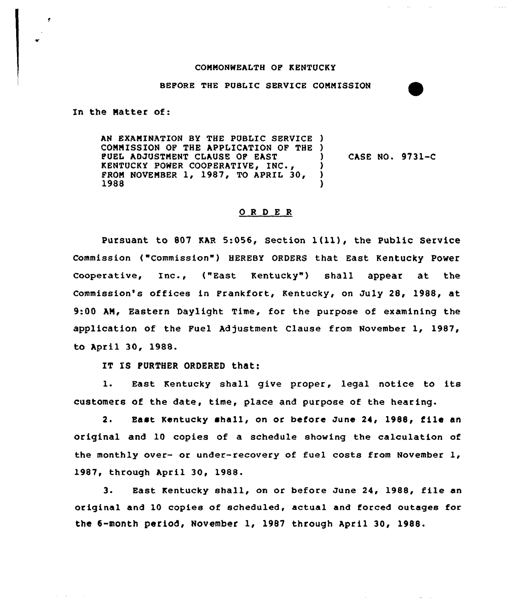## COMMONWEALTH OP KENTUCKY

 $\sim$  100  $\pm$ 

## BEPORE THE PUBLIC SERVICE COMMISSION

In the Matter of:

 $\alpha$  , and  $\alpha$  , and  $\alpha$ 

AN EXAMINATION BY THE PUBLIC SERVICE ) COMMISSION OP THE APPLICATION OF THE ) FUEL ADJUSTMENT CLAUSE OP EAST KENTUCKY POWER COOPERATIVE, INC., FROM NOVEMBER 1, 1987, TO APRIL 30, 1988 ) casE NO. 9731-c ) ) )

## 0 <sup>R</sup> <sup>D</sup> E <sup>R</sup>

Pursuant to 807 KAR 5:056, Section  $1(11)$ , the Public Service Commission ("Commission") HEREBY ORDERS that East Kentucky Power cooperative, Inc., ("East Kentucky" ) shall appear at the Commission's offices in Prankfort, Kentucky, on July 28, 1988, at 9:00 AM, Eastern Daylight Time, for the purpose of examining the application of the Fuel Adjustment Clause from November 1, 1987, to april 30, 1988.

IT IS FURTHER ORDERED that:

l. East Kentucky shall give proper, legal notice to its customers of the date, time, place and purpose of the hearing.

2. East Kentucky shall, on or before June 24, 1988, file an original and 10 copies of a schedule showing the calculation of the monthly over- or under-recovery of fuel costs from November 1, 1987, through April 30, 1988.

3. East Kentucky shall, on or before June 24, 1988, file an original and 10 copies of scheduled, actual and forced outages for the 8-month period, November 1, 1987 through april 30, 1988.